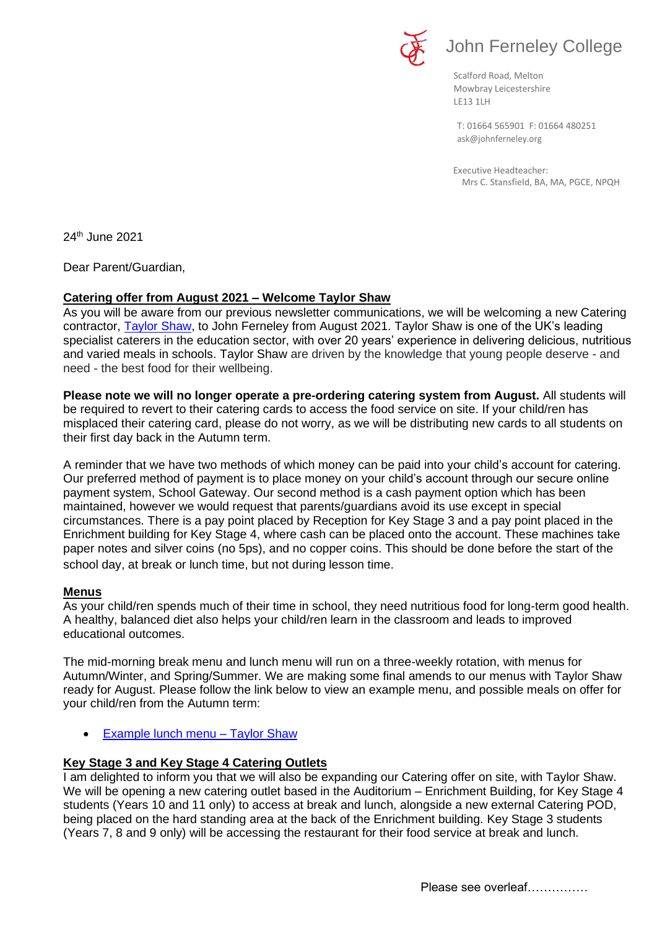

# John Ferneley College

Scalford Road, Melton Mowbray Leicestershire LE13 1LH

[ask@johnferneley.org](mailto:ask@johnferneley.org) T: 01664 565901 F: 01664 480251

 Executive Headteacher: Mrs C. Stansfield, BA, MA, PGCE, NPQH

24th June 2021

Dear Parent/Guardian,

## **Catering offer from August 2021 – Welcome Taylor Shaw**

As you will be aware from our previous newsletter communications, we will be welcoming a new Catering contractor, **Taylor Shaw**, to John Ferneley from August 2021. Taylor Shaw is one of the UK's leading specialist caterers in the education sector, with over 20 years' experience in delivering delicious, nutritious and varied meals in schools. Taylor Shaw are driven by the knowledge that young people deserve - and need - the best food for their wellbeing.

**Please note we will no longer operate a pre-ordering catering system from August.** All students will be required to revert to their catering cards to access the food service on site. If your child/ren has misplaced their catering card, please do not worry, as we will be distributing new cards to all students on their first day back in the Autumn term.

A reminder that we have two methods of which money can be paid into your child's account for catering. Our preferred method of payment is to place money on your child's account through our secure online payment system, School Gateway. Our second method is a cash payment option which has been maintained, however we would request that parents/guardians avoid its use except in special circumstances. There is a pay point placed by Reception for Key Stage 3 and a pay point placed in the Enrichment building for Key Stage 4, where cash can be placed onto the account. These machines take paper notes and silver coins (no 5ps), and no copper coins. This should be done before the start of the school day, at break or lunch time, but not during lesson time.

## **Menus**

As your child/ren spends much of their time in school, they need nutritious food for long-term good health. A healthy, balanced diet also helps your child/ren learn in the classroom and leads to improved educational outcomes.

The mid-morning break menu and lunch menu will run on a three-weekly rotation, with menus for Autumn/Winter, and Spring/Summer. We are making some final amends to our menus with Taylor Shaw ready for August. Please follow the link below to view an example menu, and possible meals on offer for your child/ren from the Autumn term:

• [Example lunch menu –](https://www.johnferneley.org/_site/data/files/users/12/files/2BF1DAE1BBB18A1DEB0DF51333475C5D.pdf) Taylor Shaw

## **Key Stage 3 and Key Stage 4 Catering Outlets**

I am delighted to inform you that we will also be expanding our Catering offer on site, with Taylor Shaw. We will be opening a new catering outlet based in the Auditorium – Enrichment Building, for Key Stage 4 students (Years 10 and 11 only) to access at break and lunch, alongside a new external Catering POD, being placed on the hard standing area at the back of the Enrichment building. Key Stage 3 students (Years 7, 8 and 9 only) will be accessing the restaurant for their food service at break and lunch.